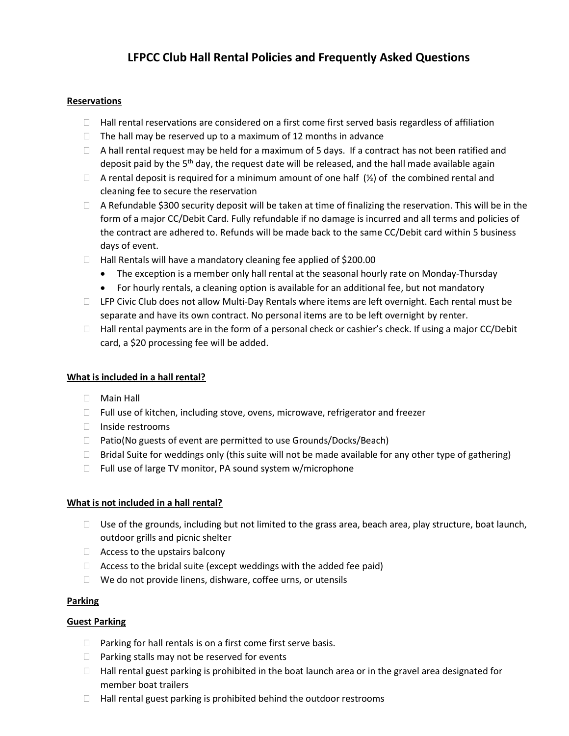# LFPCC Club Hall Rental Policies and Frequently Asked Questions

### Reservations

- $\Box$  Hall rental reservations are considered on a first come first served basis regardless of affiliation
- $\Box$  The hall may be reserved up to a maximum of 12 months in advance
- $\Box$  A hall rental request may be held for a maximum of 5 days. If a contract has not been ratified and deposit paid by the 5<sup>th</sup> day, the request date will be released, and the hall made available again
- $\Box$  A rental deposit is required for a minimum amount of one half  $(\frac{1}{2})$  of the combined rental and cleaning fee to secure the reservation
- $\Box$  A Refundable \$300 security deposit will be taken at time of finalizing the reservation. This will be in the form of a major CC/Debit Card. Fully refundable if no damage is incurred and all terms and policies of the contract are adhered to. Refunds will be made back to the same CC/Debit card within 5 business days of event.
- $\Box$  Hall Rentals will have a mandatory cleaning fee applied of \$200.00
	- The exception is a member only hall rental at the seasonal hourly rate on Monday-Thursday
	- For hourly rentals, a cleaning option is available for an additional fee, but not mandatory
- □ LFP Civic Club does not allow Multi-Day Rentals where items are left overnight. Each rental must be separate and have its own contract. No personal items are to be left overnight by renter.
- $\Box$  Hall rental payments are in the form of a personal check or cashier's check. If using a major CC/Debit card, a \$20 processing fee will be added.

### What is included in a hall rental?

- Main Hall
- □ Full use of kitchen, including stove, ovens, microwave, refrigerator and freezer
- □ Inside restrooms
- $\Box$  Patio(No guests of event are permitted to use Grounds/Docks/Beach)
- $\Box$  Bridal Suite for weddings only (this suite will not be made available for any other type of gathering)
- $\Box$  Full use of large TV monitor, PA sound system w/microphone

### What is not included in a hall rental?

- $\Box$  Use of the grounds, including but not limited to the grass area, beach area, play structure, boat launch, outdoor grills and picnic shelter
- $\Box$  Access to the upstairs balcony
- $\Box$  Access to the bridal suite (except weddings with the added fee paid)
- $\Box$  We do not provide linens, dishware, coffee urns, or utensils

### Parking

### Guest Parking

- $\Box$  Parking for hall rentals is on a first come first serve basis.
- $\Box$  Parking stalls may not be reserved for events
- $\Box$  Hall rental guest parking is prohibited in the boat launch area or in the gravel area designated for member boat trailers
- $\Box$  Hall rental guest parking is prohibited behind the outdoor restrooms